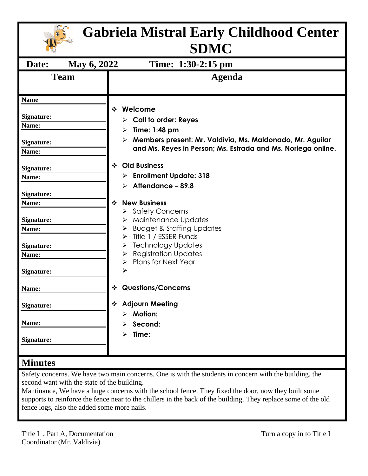| <b>Gabriela Mistral Early Childhood Center</b><br><b>SDMC</b> |                                                                                                                                                                                                                      |
|---------------------------------------------------------------|----------------------------------------------------------------------------------------------------------------------------------------------------------------------------------------------------------------------|
| May 6, 2022<br>Date:                                          | Time: 1:30-2:15 pm                                                                                                                                                                                                   |
| <b>Team</b>                                                   | <b>Agenda</b>                                                                                                                                                                                                        |
| <b>Name</b>                                                   |                                                                                                                                                                                                                      |
| <b>Signature:</b><br>Name:<br><b>Signature:</b><br>Name:      | Welcome<br>$\frac{1}{2}$<br>$\triangleright$ Call to order: Reyes<br>Time: 1:48 pm<br>⋗<br>Members present: Mr. Valdivia, Ms. Maldonado, Mr. Aguilar<br>and Ms. Reyes in Person; Ms. Estrada and Ms. Noriega online. |
| <b>Signature:</b><br>Name:                                    | <b>Old Business</b><br>$\mathbf{r}$<br><b>Enrollment Update: 318</b><br>≻                                                                                                                                            |
| <b>Signature:</b><br>Name:                                    | Attendance – 89.8<br>↘<br><b>New Business</b><br>❖                                                                                                                                                                   |
| <b>Signature:</b><br>Name:                                    | <b>Safety Concerns</b><br>➤<br>Maintenance Updates<br>≻<br><b>Budget &amp; Staffing Updates</b><br>≻<br>Title 1 / ESSER Funds<br>⋗                                                                                   |
| Signature:<br>Name:                                           | <b>Technology Updates</b><br>≻<br><b>Registration Updates</b><br>➤<br>Plans for Next Year<br>➤                                                                                                                       |
| <b>Signature:</b>                                             | ↘                                                                                                                                                                                                                    |
| Name:                                                         | <b>Questions/Concerns</b><br>❖                                                                                                                                                                                       |
| <b>Signature:</b>                                             | ❖ Adjourn Meeting<br>$\triangleright$ Motion:                                                                                                                                                                        |
| Name:<br>Signature:                                           | Second:<br>Time:<br>⋗                                                                                                                                                                                                |
| <b>Minutes</b>                                                |                                                                                                                                                                                                                      |

## Safety concerns. We have two main concerns. One is with the students in concern with the building, the second want with the state of the building.

Mantinance, We have a huge concerns with the school fence. They fixed the door, now they built some supports to reinforce the fence near to the chillers in the back of the building. They replace some of the old fence logs, also the added some more nails.